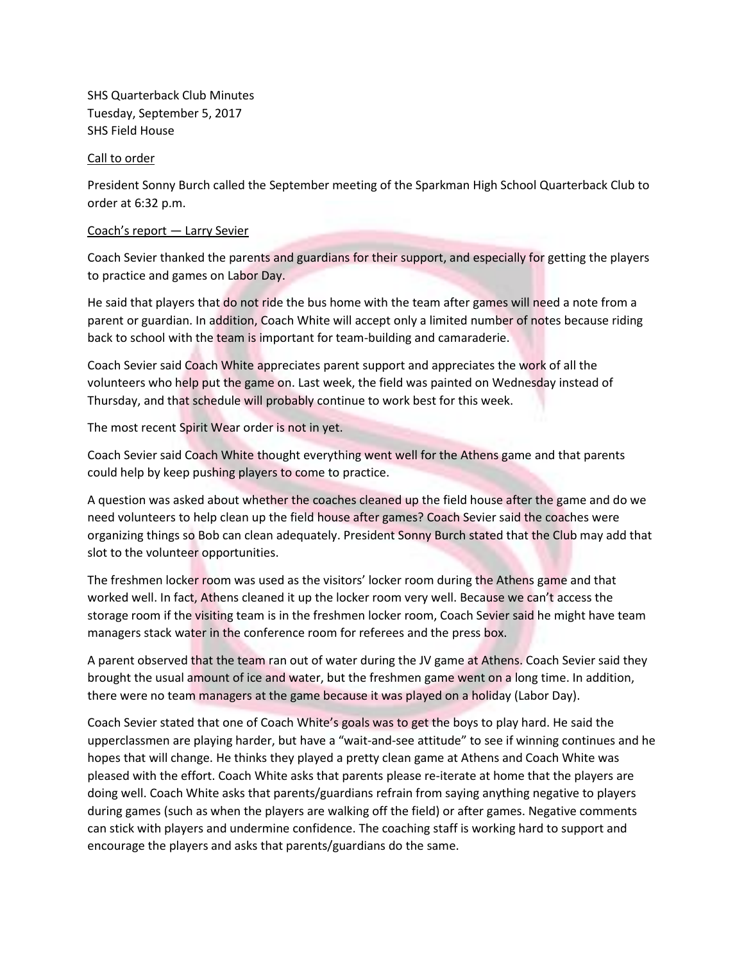SHS Quarterback Club Minutes Tuesday, September 5, 2017 SHS Field House

### Call to order

President Sonny Burch called the September meeting of the Sparkman High School Quarterback Club to order at 6:32 p.m.

#### Coach's report — Larry Sevier

Coach Sevier thanked the parents and guardians for their support, and especially for getting the players to practice and games on Labor Day.

He said that players that do not ride the bus home with the team after games will need a note from a parent or guardian. In addition, Coach White will accept only a limited number of notes because riding back to school with the team is important for team-building and camaraderie.

Coach Sevier said Coach White appreciates parent support and appreciates the work of all the volunteers who help put the game on. Last week, the field was painted on Wednesday instead of Thursday, and that schedule will probably continue to work best for this week.

The most recent Spirit Wear order is not in yet.

Coach Sevier said Coach White thought everything went well for the Athens game and that parents could help by keep pushing players to come to practice.

A question was asked about whether the coaches cleaned up the field house after the game and do we need volunteers to help clean up the field house after games? Coach Sevier said the coaches were organizing things so Bob can clean adequately. President Sonny Burch stated that the Club may add that slot to the volunteer opportunities.

The freshmen locker room was used as the visitors' locker room during the Athens game and that worked well. In fact, Athens cleaned it up the locker room very well. Because we can't access the storage room if the visiting team is in the freshmen locker room, Coach Sevier said he might have team managers stack water in the conference room for referees and the press box.

A parent observed that the team ran out of water during the JV game at Athens. Coach Sevier said they brought the usual amount of ice and water, but the freshmen game went on a long time. In addition, there were no team managers at the game because it was played on a holiday (Labor Day).

Coach Sevier stated that one of Coach White's goals was to get the boys to play hard. He said the upperclassmen are playing harder, but have a "wait-and-see attitude" to see if winning continues and he hopes that will change. He thinks they played a pretty clean game at Athens and Coach White was pleased with the effort. Coach White asks that parents please re-iterate at home that the players are doing well. Coach White asks that parents/guardians refrain from saying anything negative to players during games (such as when the players are walking off the field) or after games. Negative comments can stick with players and undermine confidence. The coaching staff is working hard to support and encourage the players and asks that parents/guardians do the same.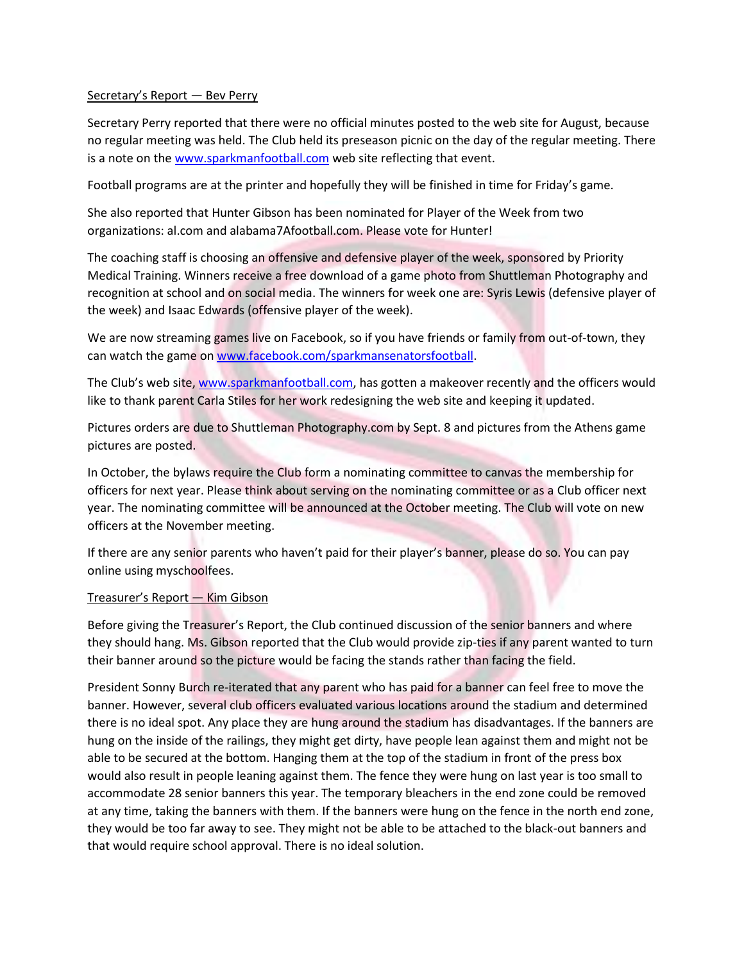## Secretary's Report - Bev Perry

Secretary Perry reported that there were no official minutes posted to the web site for August, because no regular meeting was held. The Club held its preseason picnic on the day of the regular meeting. There is a note on the [www.sparkmanfootball.com](http://www.sparkmanfootball.com/) web site reflecting that event.

Football programs are at the printer and hopefully they will be finished in time for Friday's game.

She also reported that Hunter Gibson has been nominated for Player of the Week from two organizations: al.com and alabama7Afootball.com. Please vote for Hunter!

The coaching staff is choosing an offensive and defensive player of the week, sponsored by Priority Medical Training. Winners receive a free download of a game photo from Shuttleman Photography and recognition at school and on social media. The winners for week one are: Syris Lewis (defensive player of the week) and Isaac Edwards (offensive player of the week).

We are now streaming games live on Facebook, so if you have friends or family from out-of-town, they can watch the game on [www.facebook.com/sparkmansenatorsfootball.](http://www.facebook.com/sparkmansenatorsfootball)

The Club's web site, [www.sparkmanfootball.com,](http://www.sparkmanfootball.com/) has gotten a makeover recently and the officers would like to thank parent Carla Stiles for her work redesigning the web site and keeping it updated.

Pictures orders are due to Shuttleman Photography.com by Sept. 8 and pictures from the Athens game pictures are posted.

In October, the bylaws require the Club form a nominating committee to canvas the membership for officers for next year. Please think about serving on the nominating committee or as a Club officer next year. The nominating committee will be announced at the October meeting. The Club will vote on new officers at the November meeting.

If there are any senior parents who haven't paid for their player's banner, please do so. You can pay online using myschoolfees.

### Treasurer's Report — Kim Gibson

Before giving the Treasurer's Report, the Club continued discussion of the senior banners and where they should hang. Ms. Gibson reported that the Club would provide zip-ties if any parent wanted to turn their banner around so the picture would be facing the stands rather than facing the field.

President Sonny Burch re-iterated that any parent who has paid for a banner can feel free to move the banner. However, several club officers evaluated various locations around the stadium and determined there is no ideal spot. Any place they are hung around the stadium has disadvantages. If the banners are hung on the inside of the railings, they might get dirty, have people lean against them and might not be able to be secured at the bottom. Hanging them at the top of the stadium in front of the press box would also result in people leaning against them. The fence they were hung on last year is too small to accommodate 28 senior banners this year. The temporary bleachers in the end zone could be removed at any time, taking the banners with them. If the banners were hung on the fence in the north end zone, they would be too far away to see. They might not be able to be attached to the black-out banners and that would require school approval. There is no ideal solution.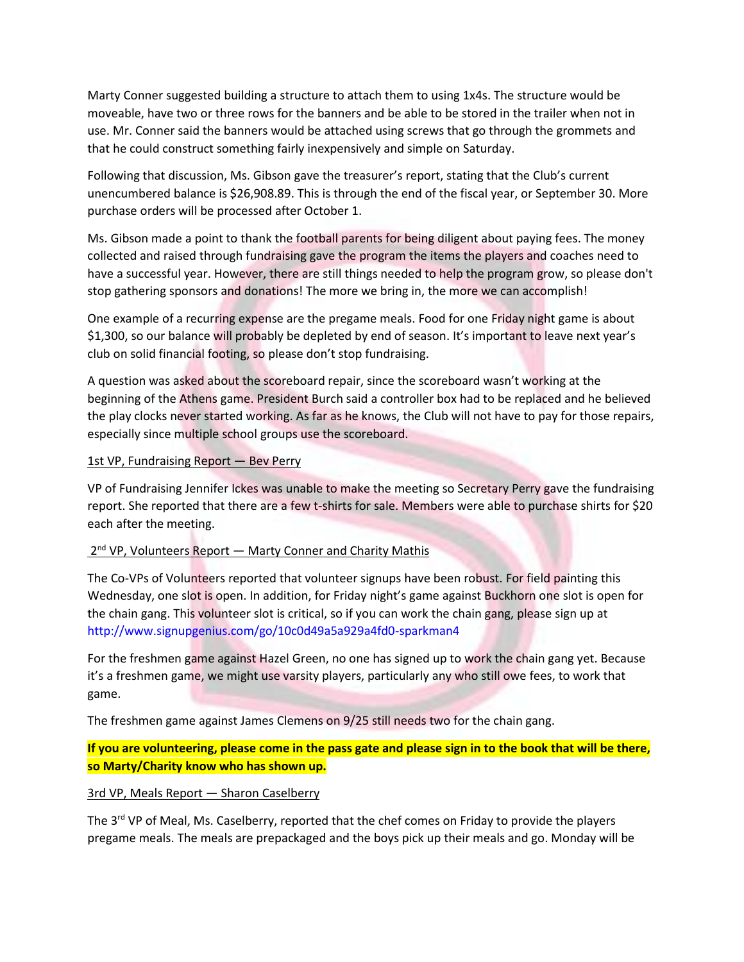Marty Conner suggested building a structure to attach them to using 1x4s. The structure would be moveable, have two or three rows for the banners and be able to be stored in the trailer when not in use. Mr. Conner said the banners would be attached using screws that go through the grommets and that he could construct something fairly inexpensively and simple on Saturday.

Following that discussion, Ms. Gibson gave the treasurer's report, stating that the Club's current unencumbered balance is \$26,908.89. This is through the end of the fiscal year, or September 30. More purchase orders will be processed after October 1.

Ms. Gibson made a point to thank the football parents for being diligent about paying fees. The money collected and raised through fundraising gave the program the items the players and coaches need to have a successful year. However, there are still things needed to help the program grow, so please don't stop gathering sponsors and donations! The more we bring in, the more we can accomplish!

One example of a recurring expense are the pregame meals. Food for one Friday night game is about \$1,300, so our balance will probably be depleted by end of season. It's important to leave next year's club on solid financial footing, so please don't stop fundraising.

A question was asked about the scoreboard repair, since the scoreboard wasn't working at the beginning of the Athens game. President Burch said a controller box had to be replaced and he believed the play clocks never started working. As far as he knows, the Club will not have to pay for those repairs, especially since multiple school groups use the scoreboard.

## 1st VP, Fundraising Report - Bev Perry

VP of Fundraising Jennifer Ickes was unable to make the meeting so Secretary Perry gave the fundraising report. She reported that there are a few t-shirts for sale. Members were able to purchase shirts for \$20 each after the meeting.

## 2<sup>nd</sup> VP, Volunteers Report - Marty Conner and Charity Mathis

The Co-VPs of Volunteers reported that volunteer signups have been robust. For field painting this Wednesday, one slot is open. In addition, for Friday night's game against Buckhorn one slot is open for the chain gang. This volunteer slot is critical, so if you can work the chain gang, please sign up at <http://www.signupgenius.com/go/10c0d49a5a929a4fd0-sparkman4>

For the freshmen game against Hazel Green, no one has signed up to work the chain gang yet. Because it's a freshmen game, we might use varsity players, particularly any who still owe fees, to work that game.

The freshmen game against James Clemens on 9/25 still needs two for the chain gang.

**If you are volunteering, please come in the pass gate and please sign in to the book that will be there, so Marty/Charity know who has shown up.**

## 3rd VP, Meals Report — Sharon Caselberry

The 3<sup>rd</sup> VP of Meal, Ms. Caselberry, reported that the chef comes on Friday to provide the players pregame meals. The meals are prepackaged and the boys pick up their meals and go. Monday will be